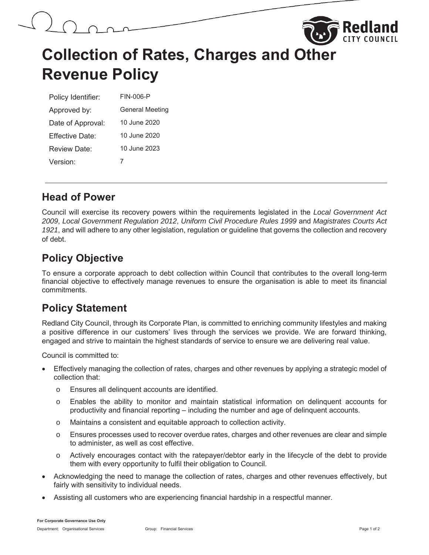



# **Collection of Rates, Charges and Other Revenue Policy**

| Policy Identifier: | FIN-006-P              |  |
|--------------------|------------------------|--|
| Approved by:       | <b>General Meeting</b> |  |
| Date of Approval:  | 10 June 2020           |  |
| Fffective Date:    | 10 June 2020           |  |
| Review Date:       | 10 June 2023           |  |
| Version:           |                        |  |

### **Head of Power**

Council will exercise its recovery powers within the requirements legislated in the *Local Government Act 2009*, *Local Government Regulation 2012*, *Uniform Civil Procedure Rules 1999* and *Magistrates Courts Act 1921*, and will adhere to any other legislation, regulation or guideline that governs the collection and recovery of debt.

# **Policy Objective**

To ensure a corporate approach to debt collection within Council that contributes to the overall long-term financial objective to effectively manage revenues to ensure the organisation is able to meet its financial commitments.

### **Policy Statement**

Redland City Council, through its Corporate Plan, is committed to enriching community lifestyles and making a positive difference in our customers' lives through the services we provide. We are forward thinking, engaged and strive to maintain the highest standards of service to ensure we are delivering real value.

Council is committed to:

- Effectively managing the collection of rates, charges and other revenues by applying a strategic model of collection that:
	- o Ensures all delinquent accounts are identified.
	- o Enables the ability to monitor and maintain statistical information on delinquent accounts for productivity and financial reporting – including the number and age of delinquent accounts.
	- o Maintains a consistent and equitable approach to collection activity.
	- o Ensures processes used to recover overdue rates, charges and other revenues are clear and simple to administer, as well as cost effective.
	- o Actively encourages contact with the ratepayer/debtor early in the lifecycle of the debt to provide them with every opportunity to fulfil their obligation to Council.
- Acknowledging the need to manage the collection of rates, charges and other revenues effectively, but fairly with sensitivity to individual needs.
- x Assisting all customers who are experiencing financial hardship in a respectful manner.